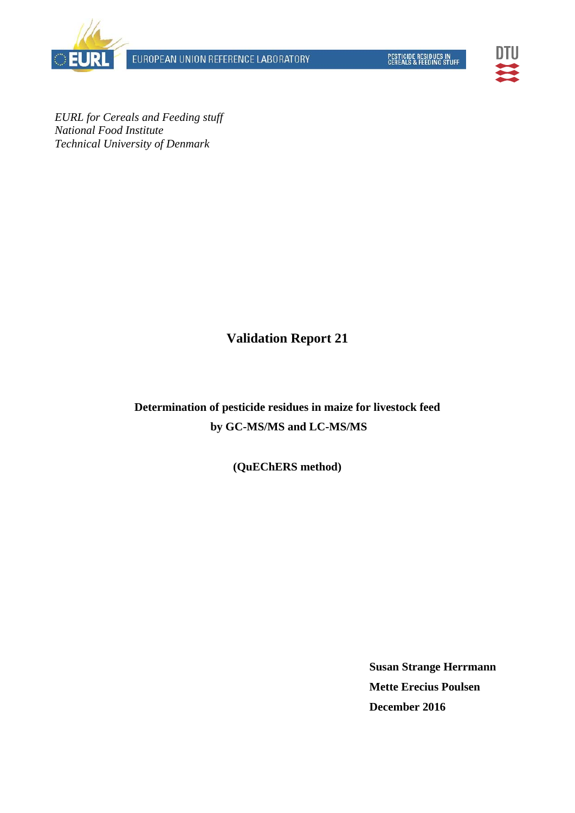EUROPEAN UNION REFERENCE LABORATORY





*EURL for Cereals and Feeding stuff National Food Institute Technical University of Denmark* 

**Validation Report 21** 

**Determination of pesticide residues in maize for livestock feed by GC-MS/MS and LC-MS/MS** 

**(QuEChERS method)** 

**Susan Strange Herrmann Mette Erecius Poulsen December 2016**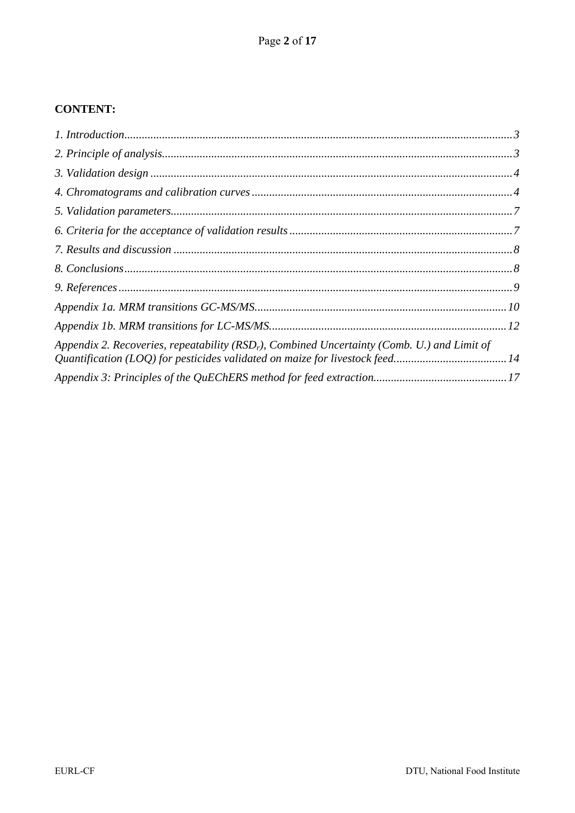## **CONTENT:**

| Appendix 2. Recoveries, repeatability ( $RSDr$ ), Combined Uncertainty (Comb. U.) and Limit of |  |
|------------------------------------------------------------------------------------------------|--|
|                                                                                                |  |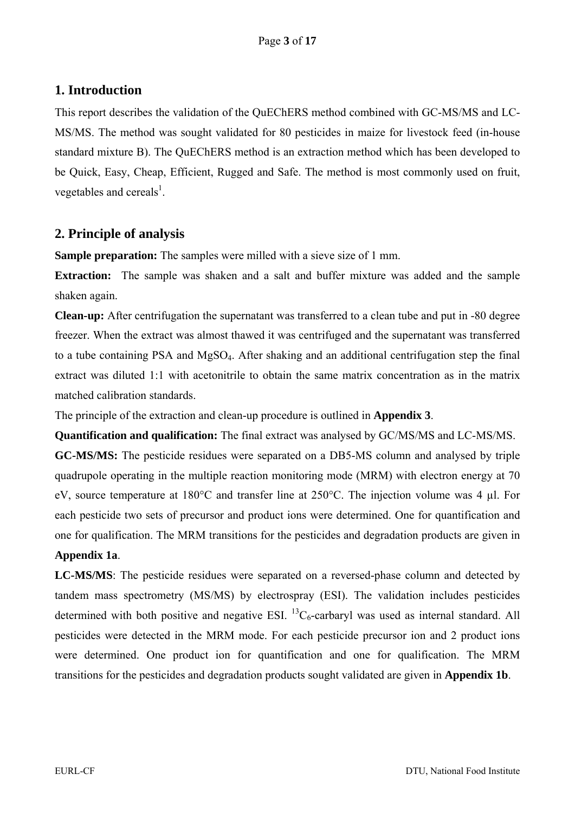# **1. Introduction**

This report describes the validation of the QuEChERS method combined with GC-MS/MS and LC-MS/MS. The method was sought validated for 80 pesticides in maize for livestock feed (in-house standard mixture B). The QuEChERS method is an extraction method which has been developed to be Quick, Easy, Cheap, Efficient, Rugged and Safe. The method is most commonly used on fruit, vegetables and cereals<sup>1</sup>.

## **2. Principle of analysis**

**Sample preparation:** The samples were milled with a sieve size of 1 mm.

**Extraction:** The sample was shaken and a salt and buffer mixture was added and the sample shaken again.

**Clean-up:** After centrifugation the supernatant was transferred to a clean tube and put in -80 degree freezer. When the extract was almost thawed it was centrifuged and the supernatant was transferred to a tube containing PSA and  $MgSO<sub>4</sub>$ . After shaking and an additional centrifugation step the final extract was diluted 1:1 with acetonitrile to obtain the same matrix concentration as in the matrix matched calibration standards.

The principle of the extraction and clean-up procedure is outlined in **Appendix 3**.

**Quantification and qualification:** The final extract was analysed by GC/MS/MS and LC-MS/MS.

**GC-MS/MS:** The pesticide residues were separated on a DB5-MS column and analysed by triple quadrupole operating in the multiple reaction monitoring mode (MRM) with electron energy at 70 eV, source temperature at 180°C and transfer line at 250°C. The injection volume was 4 µl. For each pesticide two sets of precursor and product ions were determined. One for quantification and one for qualification. The MRM transitions for the pesticides and degradation products are given in **Appendix 1a**.

**LC-MS/MS**: The pesticide residues were separated on a reversed-phase column and detected by tandem mass spectrometry (MS/MS) by electrospray (ESI). The validation includes pesticides determined with both positive and negative ESI.  ${}^{13}C_6$ -carbaryl was used as internal standard. All pesticides were detected in the MRM mode. For each pesticide precursor ion and 2 product ions were determined. One product ion for quantification and one for qualification. The MRM transitions for the pesticides and degradation products sought validated are given in **Appendix 1b**.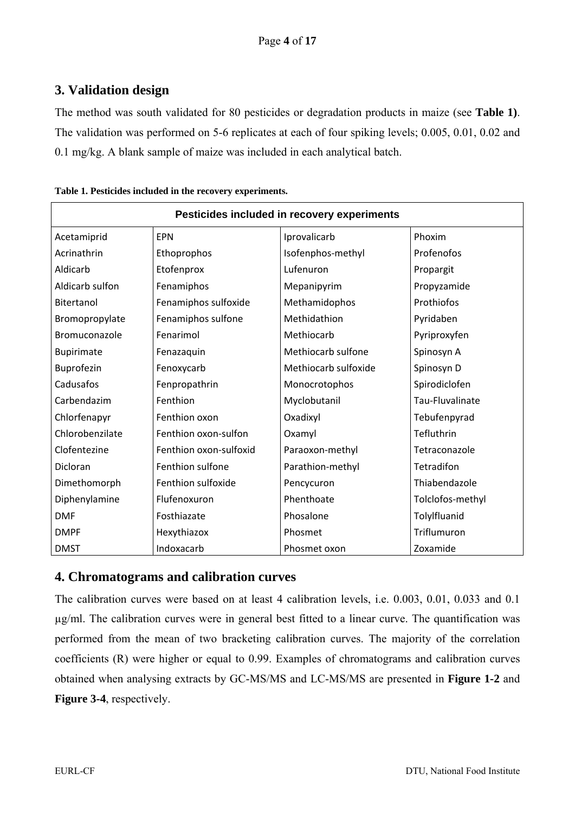# **3. Validation design**

The method was south validated for 80 pesticides or degradation products in maize (see **Table 1)**. The validation was performed on 5-6 replicates at each of four spiking levels; 0.005, 0.01, 0.02 and 0.1 mg/kg. A blank sample of maize was included in each analytical batch.

| Pesticides included in recovery experiments |                        |                      |                  |  |  |  |  |  |  |  |  |  |
|---------------------------------------------|------------------------|----------------------|------------------|--|--|--|--|--|--|--|--|--|
| Acetamiprid                                 | <b>EPN</b>             | Iprovalicarb         | Phoxim           |  |  |  |  |  |  |  |  |  |
| Acrinathrin                                 | Ethoprophos            | Isofenphos-methyl    | Profenofos       |  |  |  |  |  |  |  |  |  |
| Aldicarb                                    | Etofenprox             | Lufenuron            | Propargit        |  |  |  |  |  |  |  |  |  |
| Aldicarb sulfon                             | Fenamiphos             | Mepanipyrim          | Propyzamide      |  |  |  |  |  |  |  |  |  |
| Bitertanol                                  | Fenamiphos sulfoxide   | Methamidophos        | Prothiofos       |  |  |  |  |  |  |  |  |  |
| Bromopropylate                              | Fenamiphos sulfone     | Methidathion         | Pyridaben        |  |  |  |  |  |  |  |  |  |
| Bromuconazole                               | Fenarimol              | Methiocarb           | Pyriproxyfen     |  |  |  |  |  |  |  |  |  |
| <b>Bupirimate</b>                           | Fenazaquin             | Methiocarb sulfone   | Spinosyn A       |  |  |  |  |  |  |  |  |  |
| Buprofezin                                  | Fenoxycarb             | Methiocarb sulfoxide | Spinosyn D       |  |  |  |  |  |  |  |  |  |
| Cadusafos                                   | Fenpropathrin          | Monocrotophos        | Spirodiclofen    |  |  |  |  |  |  |  |  |  |
| Carbendazim                                 | Fenthion               | Myclobutanil         | Tau-Fluvalinate  |  |  |  |  |  |  |  |  |  |
| Chlorfenapyr                                | Fenthion oxon          | Oxadixyl             | Tebufenpyrad     |  |  |  |  |  |  |  |  |  |
| Chlorobenzilate                             | Fenthion oxon-sulfon   | Oxamyl               | Tefluthrin       |  |  |  |  |  |  |  |  |  |
| Clofentezine                                | Fenthion oxon-sulfoxid | Paraoxon-methyl      | Tetraconazole    |  |  |  |  |  |  |  |  |  |
| Dicloran                                    | Fenthion sulfone       | Parathion-methyl     | Tetradifon       |  |  |  |  |  |  |  |  |  |
| Dimethomorph                                | Fenthion sulfoxide     | Pencycuron           | Thiabendazole    |  |  |  |  |  |  |  |  |  |
| Diphenylamine                               | Flufenoxuron           | Phenthoate           | Tolclofos-methyl |  |  |  |  |  |  |  |  |  |
| <b>DMF</b>                                  | Fosthiazate            | Phosalone            | Tolylfluanid     |  |  |  |  |  |  |  |  |  |
| <b>DMPF</b>                                 | Hexythiazox            | Phosmet              | Triflumuron      |  |  |  |  |  |  |  |  |  |
| <b>DMST</b>                                 | Indoxacarb             | Phosmet oxon         | Zoxamide         |  |  |  |  |  |  |  |  |  |

|  |  | Table 1. Pesticides included in the recovery experiments. |
|--|--|-----------------------------------------------------------|
|  |  |                                                           |

#### **4. Chromatograms and calibration curves**

The calibration curves were based on at least 4 calibration levels, i.e. 0.003, 0.01, 0.033 and 0.1 µg/ml. The calibration curves were in general best fitted to a linear curve. The quantification was performed from the mean of two bracketing calibration curves. The majority of the correlation coefficients (R) were higher or equal to 0.99. Examples of chromatograms and calibration curves obtained when analysing extracts by GC-MS/MS and LC-MS/MS are presented in **Figure 1-2** and **Figure 3-4**, respectively.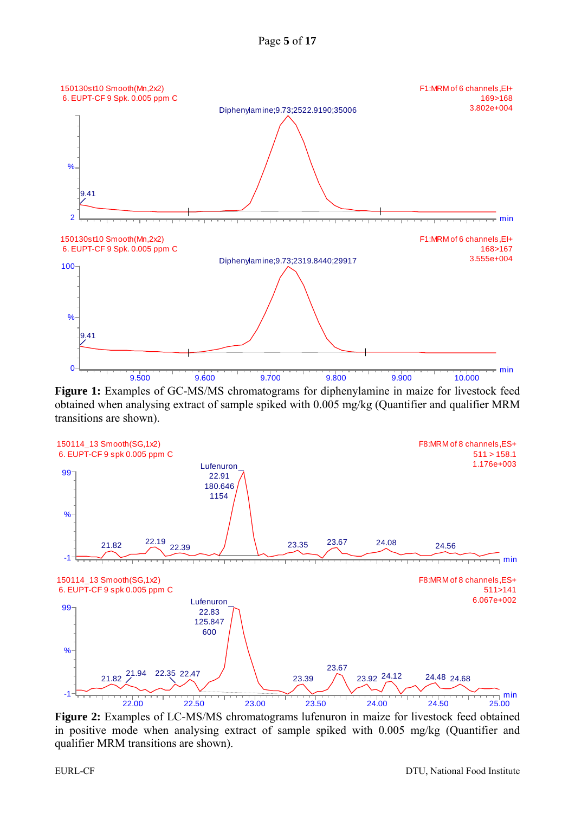



**Figure 1:** Examples of GC-MS/MS chromatograms for diphenylamine in maize for livestock feed obtained when analysing extract of sample spiked with 0.005 mg/kg (Quantifier and qualifier MRM transitions are shown).



**Figure 2:** Examples of LC-MS/MS chromatograms lufenuron in maize for livestock feed obtained in positive mode when analysing extract of sample spiked with 0.005 mg/kg (Quantifier and qualifier MRM transitions are shown).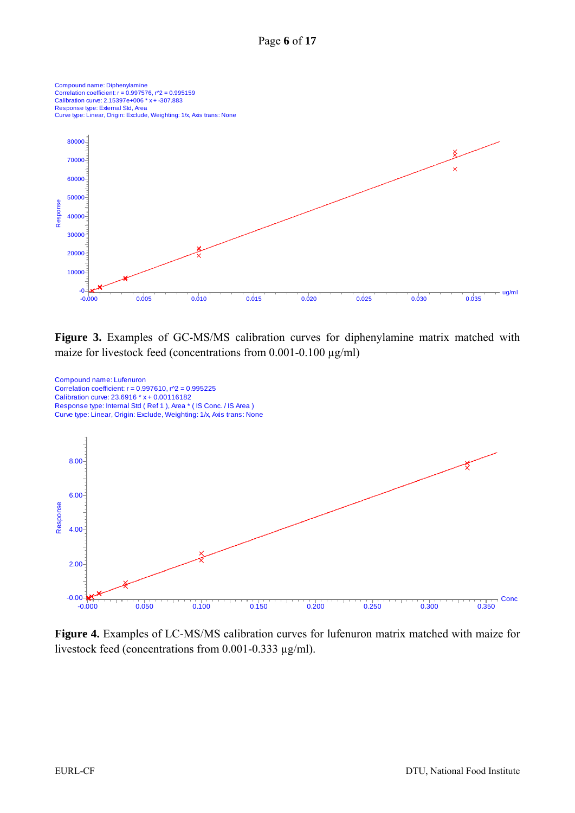

**Figure 3.** Examples of GC-MS/MS calibration curves for diphenylamine matrix matched with maize for livestock feed (concentrations from 0.001-0.100  $\mu$ g/ml)



**Figure 4.** Examples of LC-MS/MS calibration curves for lufenuron matrix matched with maize for livestock feed (concentrations from 0.001-0.333 µg/ml).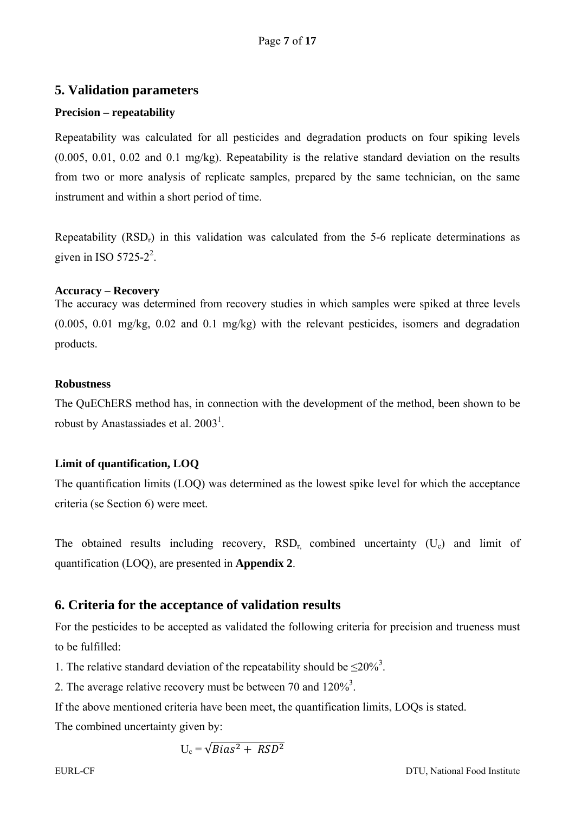#### **5. Validation parameters**

#### **Precision – repeatability**

Repeatability was calculated for all pesticides and degradation products on four spiking levels (0.005, 0.01, 0.02 and 0.1 mg/kg). Repeatability is the relative standard deviation on the results from two or more analysis of replicate samples, prepared by the same technician, on the same instrument and within a short period of time.

Repeatability  $(RSD<sub>r</sub>)$  in this validation was calculated from the 5-6 replicate determinations as given in ISO 5725-2<sup>2</sup>.

#### **Accuracy – Recovery**

The accuracy was determined from recovery studies in which samples were spiked at three levels (0.005, 0.01 mg/kg, 0.02 and 0.1 mg/kg) with the relevant pesticides, isomers and degradation products.

#### **Robustness**

The QuEChERS method has, in connection with the development of the method, been shown to be robust by Anastassiades et al.  $2003<sup>1</sup>$ .

#### **Limit of quantification, LOQ**

The quantification limits (LOQ) was determined as the lowest spike level for which the acceptance criteria (se Section 6) were meet.

The obtained results including recovery,  $RSD<sub>r</sub>$  combined uncertainty  $(U<sub>c</sub>)$  and limit of quantification (LOQ), are presented in **Appendix 2**.

## **6. Criteria for the acceptance of validation results**

For the pesticides to be accepted as validated the following criteria for precision and trueness must to be fulfilled:

1. The relative standard deviation of the repeatability should be  $\leq 20\%$ <sup>3</sup>.

2. The average relative recovery must be between 70 and  $120\%$ <sup>3</sup>.

If the above mentioned criteria have been meet, the quantification limits, LOQs is stated.

The combined uncertainty given by:

$$
U_c = \sqrt{Bias^2 + RSD^2}
$$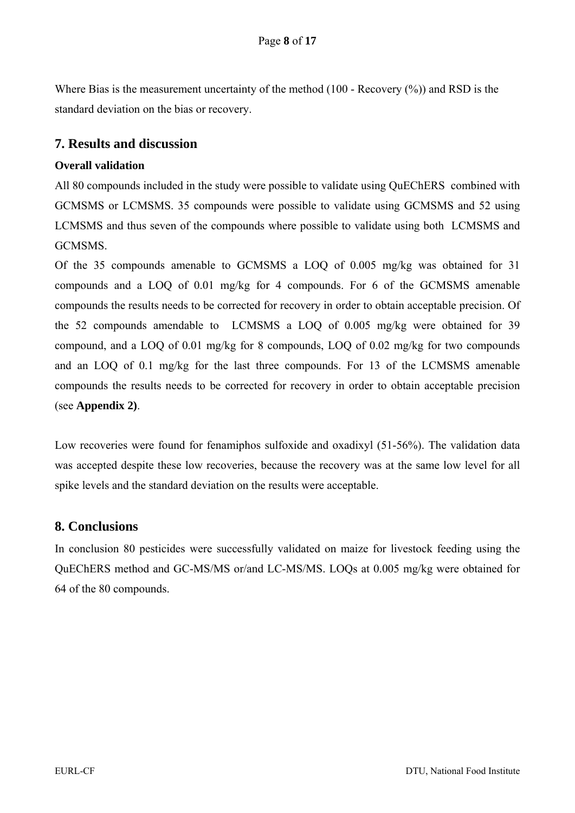Where Bias is the measurement uncertainty of the method (100 - Recovery  $(\%)$ ) and RSD is the standard deviation on the bias or recovery.

#### **7. Results and discussion**

#### **Overall validation**

All 80 compounds included in the study were possible to validate using QuEChERS combined with GCMSMS or LCMSMS. 35 compounds were possible to validate using GCMSMS and 52 using LCMSMS and thus seven of the compounds where possible to validate using both LCMSMS and GCMSMS.

Of the 35 compounds amenable to GCMSMS a LOQ of 0.005 mg/kg was obtained for 31 compounds and a LOQ of 0.01 mg/kg for 4 compounds. For 6 of the GCMSMS amenable compounds the results needs to be corrected for recovery in order to obtain acceptable precision. Of the 52 compounds amendable to LCMSMS a LOQ of 0.005 mg/kg were obtained for 39 compound, and a LOQ of 0.01 mg/kg for 8 compounds, LOQ of 0.02 mg/kg for two compounds and an LOQ of 0.1 mg/kg for the last three compounds. For 13 of the LCMSMS amenable compounds the results needs to be corrected for recovery in order to obtain acceptable precision (see **Appendix 2)**.

Low recoveries were found for fenamiphos sulfoxide and oxadixyl (51-56%). The validation data was accepted despite these low recoveries, because the recovery was at the same low level for all spike levels and the standard deviation on the results were acceptable.

#### **8. Conclusions**

In conclusion 80 pesticides were successfully validated on maize for livestock feeding using the QuEChERS method and GC-MS/MS or/and LC-MS/MS. LOQs at 0.005 mg/kg were obtained for 64 of the 80 compounds.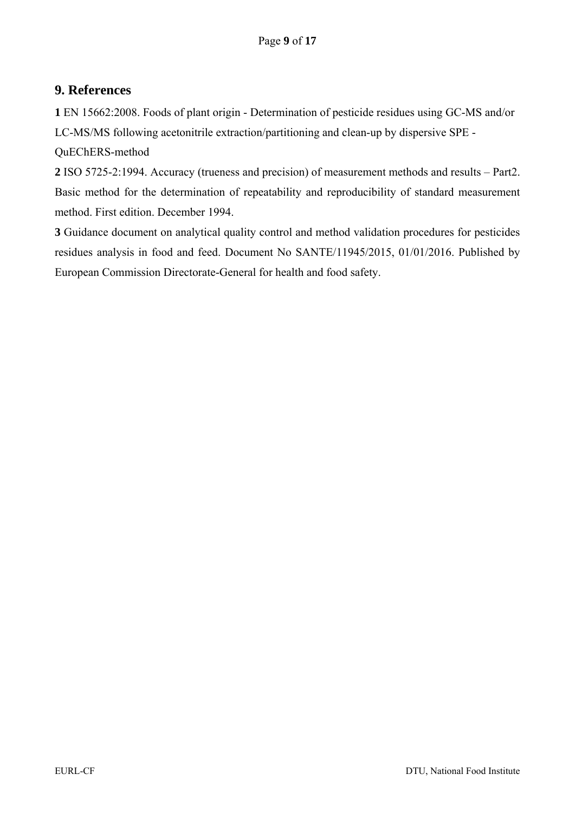# **9. References**

**1** EN 15662:2008. Foods of plant origin - Determination of pesticide residues using GC-MS and/or LC-MS/MS following acetonitrile extraction/partitioning and clean-up by dispersive SPE -

QuEChERS-method

**2** ISO 5725-2:1994. Accuracy (trueness and precision) of measurement methods and results – Part2. Basic method for the determination of repeatability and reproducibility of standard measurement method. First edition. December 1994.

**3** Guidance document on analytical quality control and method validation procedures for pesticides residues analysis in food and feed. Document No SANTE/11945/2015, 01/01/2016. Published by European Commission Directorate-General for health and food safety.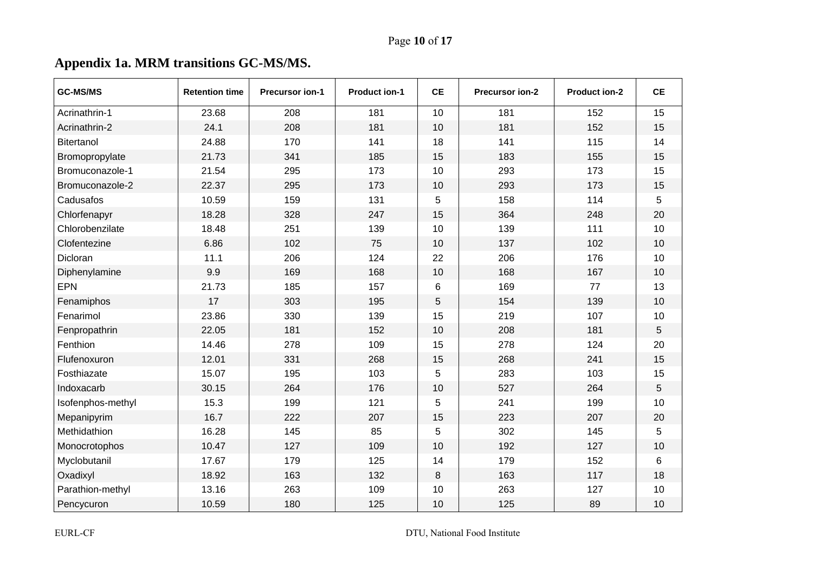# **Appendix 1a. MRM transitions GC-MS/MS.**

| <b>GC-MS/MS</b>   | <b>Retention time</b> | <b>Precursor ion-1</b> | <b>Product ion-1</b> | <b>CE</b>       | <b>Precursor ion-2</b> | <b>Product ion-2</b> | <b>CE</b> |
|-------------------|-----------------------|------------------------|----------------------|-----------------|------------------------|----------------------|-----------|
| Acrinathrin-1     | 23.68                 | 208                    | 181                  | 10              | 181                    | 152                  | 15        |
| Acrinathrin-2     | 24.1                  | 208                    | 181                  | 10              | 181                    | 152                  | 15        |
| Bitertanol        | 24.88                 | 170                    | 141                  | 18              | 141                    | 115                  | 14        |
| Bromopropylate    | 21.73                 | 341                    | 185                  | 15              | 183                    | 155                  | 15        |
| Bromuconazole-1   | 21.54                 | 295                    | 173                  | 10              | 293                    | 173                  | 15        |
| Bromuconazole-2   | 22.37                 | 295                    | 173                  | 10              | 293                    | 173                  | 15        |
| Cadusafos         | 10.59                 | 159                    | 131                  | 5               | 158                    | 114                  | 5         |
| Chlorfenapyr      | 18.28                 | 328                    | 247                  | 15              | 364                    | 248                  | 20        |
| Chlorobenzilate   | 18.48                 | 251                    | 139                  | 10              | 139                    | 111                  | 10        |
| Clofentezine      | 6.86                  | 102                    | 75                   | 10              | 137                    | 102                  | 10        |
| Dicloran          | 11.1                  | 206                    | 124                  | 22              | 206                    | 176                  | 10        |
| Diphenylamine     | 9.9                   | 169                    | 168                  | 10              | 168                    | 167                  | 10        |
| <b>EPN</b>        | 21.73                 | 185                    | 157                  | $6\phantom{1}6$ | 169                    | 77                   | 13        |
| Fenamiphos        | 17                    | 303                    | 195                  | 5               | 154                    | 139                  | 10        |
| Fenarimol         | 23.86                 | 330                    | 139                  | 15              | 219                    | 107                  | 10        |
| Fenpropathrin     | 22.05                 | 181                    | 152                  | 10              | 208                    | 181                  | 5         |
| Fenthion          | 14.46                 | 278                    | 109                  | 15              | 278                    | 124                  | 20        |
| Flufenoxuron      | 12.01                 | 331                    | 268                  | 15              | 268                    | 241                  | 15        |
| Fosthiazate       | 15.07                 | 195                    | 103                  | 5               | 283                    | 103                  | 15        |
| Indoxacarb        | 30.15                 | 264                    | 176                  | 10              | 527                    | 264                  | 5         |
| Isofenphos-methyl | 15.3                  | 199                    | 121                  | 5               | 241                    | 199                  | 10        |
| Mepanipyrim       | 16.7                  | 222                    | 207                  | 15              | 223                    | 207                  | 20        |
| Methidathion      | 16.28                 | 145                    | 85                   | 5               | 302                    | 145                  | 5         |
| Monocrotophos     | 10.47                 | 127                    | 109                  | 10              | 192                    | 127                  | 10        |
| Myclobutanil      | 17.67                 | 179                    | 125                  | 14              | 179                    | 152                  | 6         |
| Oxadixyl          | 18.92                 | 163                    | 132                  | 8               | 163                    | 117                  | 18        |
| Parathion-methyl  | 13.16                 | 263                    | 109                  | 10              | 263                    | 127                  | 10        |
| Pencycuron        | 10.59                 | 180                    | 125                  | 10              | 125                    | 89                   | 10        |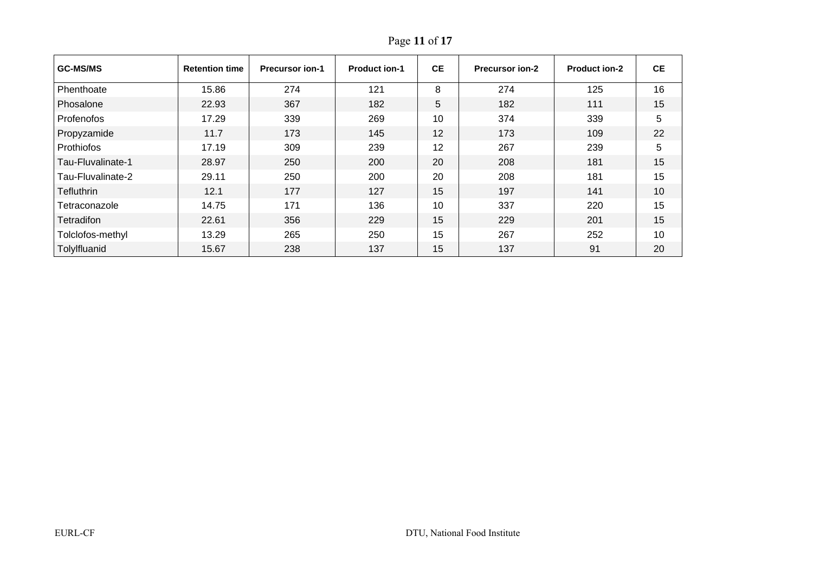| <b>GC-MS/MS</b>   | <b>Retention time</b> | <b>Precursor ion-1</b> | <b>Product ion-1</b> | <b>CE</b> | <b>Precursor ion-2</b> | <b>Product ion-2</b> | <b>CE</b> |
|-------------------|-----------------------|------------------------|----------------------|-----------|------------------------|----------------------|-----------|
| Phenthoate        | 15.86                 | 274                    | 121                  | 8         | 274                    | 125                  | 16        |
| Phosalone         | 22.93                 | 367                    | 182                  | 5         | 182                    | 111                  | 15        |
| Profenofos        | 17.29                 | 339                    | 269                  | 10        | 374                    | 339                  | 5         |
| Propyzamide       | 11.7                  | 173                    | 145                  | 12        | 173                    | 109                  | 22        |
| Prothiofos        | 17.19                 | 309                    | 239                  | 12        | 267                    | 239                  | 5         |
| Tau-Fluvalinate-1 | 28.97                 | 250                    | 200                  | 20        | 208                    | 181                  | 15        |
| Tau-Fluvalinate-2 | 29.11                 | 250                    | 200                  | 20        | 208                    | 181                  | 15        |
| Tefluthrin        | 12.1                  | 177                    | 127                  | 15        | 197                    | 141                  | 10        |
| Tetraconazole     | 14.75                 | 171                    | 136                  | 10        | 337                    | 220                  | 15        |
| Tetradifon        | 22.61                 | 356                    | 229                  | 15        | 229                    | 201                  | 15        |
| Tolclofos-methyl  | 13.29                 | 265                    | 250                  | 15        | 267                    | 252                  | 10        |
| Tolylfluanid      | 15.67                 | 238                    | 137                  | 15        | 137                    | 91                   | 20        |

Page **11** of **17**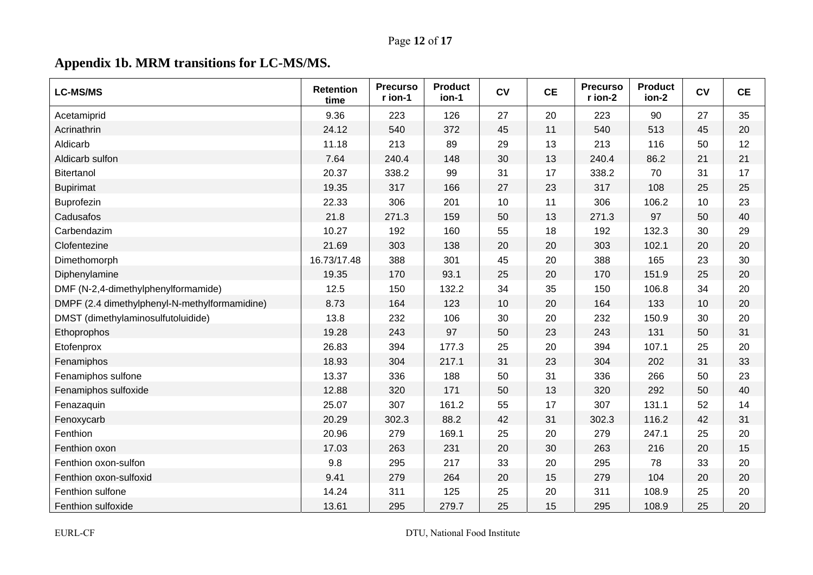# Page **12** of **17**

# **Appendix 1b. MRM transitions for LC-MS/MS.**

| <b>LC-MS/MS</b>                               | <b>Retention</b><br>time | <b>Precurso</b><br>r ion-1 | <b>Product</b><br>ion-1 | CV | <b>CE</b> | <b>Precurso</b><br>r ion-2 | <b>Product</b><br>ion-2 | CV | <b>CE</b> |
|-----------------------------------------------|--------------------------|----------------------------|-------------------------|----|-----------|----------------------------|-------------------------|----|-----------|
| Acetamiprid                                   | 9.36                     | 223                        | 126                     | 27 | 20        | 223                        | 90                      | 27 | 35        |
| Acrinathrin                                   | 24.12                    | 540                        | 372                     | 45 | 11        | 540                        | 513                     | 45 | 20        |
| Aldicarb                                      | 11.18                    | 213                        | 89                      | 29 | 13        | 213                        | 116                     | 50 | 12        |
| Aldicarb sulfon                               | 7.64                     | 240.4                      | 148                     | 30 | 13        | 240.4                      | 86.2                    | 21 | 21        |
| Bitertanol                                    | 20.37                    | 338.2                      | 99                      | 31 | 17        | 338.2                      | 70                      | 31 | 17        |
| <b>Bupirimat</b>                              | 19.35                    | 317                        | 166                     | 27 | 23        | 317                        | 108                     | 25 | 25        |
| Buprofezin                                    | 22.33                    | 306                        | 201                     | 10 | 11        | 306                        | 106.2                   | 10 | 23        |
| Cadusafos                                     | 21.8                     | 271.3                      | 159                     | 50 | 13        | 271.3                      | 97                      | 50 | 40        |
| Carbendazim                                   | 10.27                    | 192                        | 160                     | 55 | 18        | 192                        | 132.3                   | 30 | 29        |
| Clofentezine                                  | 21.69                    | 303                        | 138                     | 20 | 20        | 303                        | 102.1                   | 20 | 20        |
| Dimethomorph                                  | 16.73/17.48              | 388                        | 301                     | 45 | 20        | 388                        | 165                     | 23 | 30        |
| Diphenylamine                                 | 19.35                    | 170                        | 93.1                    | 25 | 20        | 170                        | 151.9                   | 25 | 20        |
| DMF (N-2,4-dimethylphenylformamide)           | 12.5                     | 150                        | 132.2                   | 34 | 35        | 150                        | 106.8                   | 34 | 20        |
| DMPF (2.4 dimethylphenyl-N-methylformamidine) | 8.73                     | 164                        | 123                     | 10 | 20        | 164                        | 133                     | 10 | 20        |
| DMST (dimethylaminosulfutoluidide)            | 13.8                     | 232                        | 106                     | 30 | 20        | 232                        | 150.9                   | 30 | 20        |
| Ethoprophos                                   | 19.28                    | 243                        | 97                      | 50 | 23        | 243                        | 131                     | 50 | 31        |
| Etofenprox                                    | 26.83                    | 394                        | 177.3                   | 25 | 20        | 394                        | 107.1                   | 25 | 20        |
| Fenamiphos                                    | 18.93                    | 304                        | 217.1                   | 31 | 23        | 304                        | 202                     | 31 | 33        |
| Fenamiphos sulfone                            | 13.37                    | 336                        | 188                     | 50 | 31        | 336                        | 266                     | 50 | 23        |
| Fenamiphos sulfoxide                          | 12.88                    | 320                        | 171                     | 50 | 13        | 320                        | 292                     | 50 | 40        |
| Fenazaquin                                    | 25.07                    | 307                        | 161.2                   | 55 | 17        | 307                        | 131.1                   | 52 | 14        |
| Fenoxycarb                                    | 20.29                    | 302.3                      | 88.2                    | 42 | 31        | 302.3                      | 116.2                   | 42 | 31        |
| Fenthion                                      | 20.96                    | 279                        | 169.1                   | 25 | 20        | 279                        | 247.1                   | 25 | 20        |
| Fenthion oxon                                 | 17.03                    | 263                        | 231                     | 20 | 30        | 263                        | 216                     | 20 | 15        |
| Fenthion oxon-sulfon                          | 9.8                      | 295                        | 217                     | 33 | 20        | 295                        | 78                      | 33 | 20        |
| Fenthion oxon-sulfoxid                        | 9.41                     | 279                        | 264                     | 20 | 15        | 279                        | 104                     | 20 | 20        |
| Fenthion sulfone                              | 14.24                    | 311                        | 125                     | 25 | 20        | 311                        | 108.9                   | 25 | 20        |
| Fenthion sulfoxide                            | 13.61                    | 295                        | 279.7                   | 25 | 15        | 295                        | 108.9                   | 25 | 20        |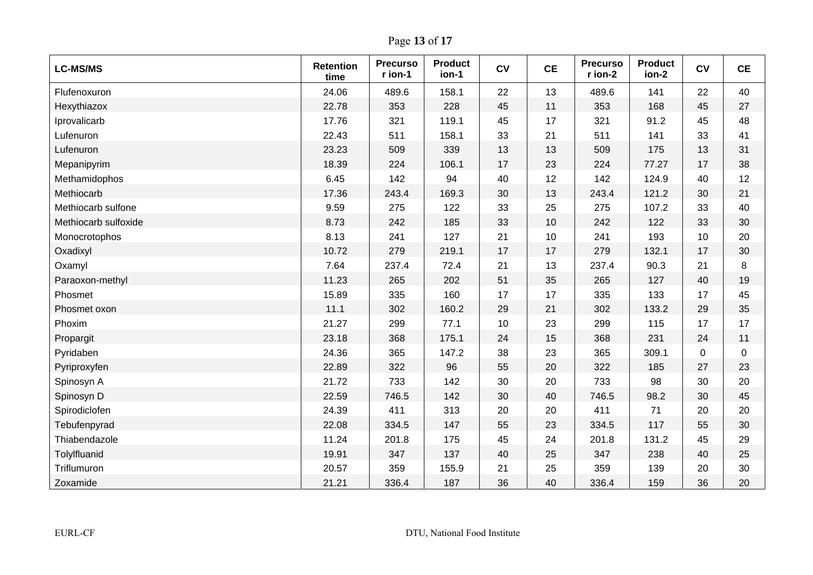Page **13** of **17**

| <b>LC-MS/MS</b>      | <b>Retention</b><br>time | <b>Precurso</b><br>r ion-1 | <b>Product</b><br>ion-1 | CV | <b>CE</b> | <b>Precurso</b><br>r ion-2 | <b>Product</b><br>ion-2 | CV | <b>CE</b> |
|----------------------|--------------------------|----------------------------|-------------------------|----|-----------|----------------------------|-------------------------|----|-----------|
| Flufenoxuron         | 24.06                    | 489.6                      | 158.1                   | 22 | 13        | 489.6                      | 141                     | 22 | 40        |
| Hexythiazox          | 22.78                    | 353                        | 228                     | 45 | 11        | 353                        | 168                     | 45 | 27        |
| Iprovalicarb         | 17.76                    | 321                        | 119.1                   | 45 | 17        | 321                        | 91.2                    | 45 | 48        |
| Lufenuron            | 22.43                    | 511                        | 158.1                   | 33 | 21        | 511                        | 141                     | 33 | 41        |
| Lufenuron            | 23.23                    | 509                        | 339                     | 13 | 13        | 509                        | 175                     | 13 | 31        |
| Mepanipyrim          | 18.39                    | 224                        | 106.1                   | 17 | 23        | 224                        | 77.27                   | 17 | 38        |
| Methamidophos        | 6.45                     | 142                        | 94                      | 40 | 12        | 142                        | 124.9                   | 40 | 12        |
| Methiocarb           | 17.36                    | 243.4                      | 169.3                   | 30 | 13        | 243.4                      | 121.2                   | 30 | 21        |
| Methiocarb sulfone   | 9.59                     | 275                        | 122                     | 33 | 25        | 275                        | 107.2                   | 33 | 40        |
| Methiocarb sulfoxide | 8.73                     | 242                        | 185                     | 33 | 10        | 242                        | 122                     | 33 | 30        |
| Monocrotophos        | 8.13                     | 241                        | 127                     | 21 | 10        | 241                        | 193                     | 10 | 20        |
| Oxadixyl             | 10.72                    | 279                        | 219.1                   | 17 | 17        | 279                        | 132.1                   | 17 | 30        |
| Oxamyl               | 7.64                     | 237.4                      | 72.4                    | 21 | 13        | 237.4                      | 90.3                    | 21 | 8         |
| Paraoxon-methyl      | 11.23                    | 265                        | 202                     | 51 | 35        | 265                        | 127                     | 40 | 19        |
| Phosmet              | 15.89                    | 335                        | 160                     | 17 | 17        | 335                        | 133                     | 17 | 45        |
| Phosmet oxon         | 11.1                     | 302                        | 160.2                   | 29 | 21        | 302                        | 133.2                   | 29 | 35        |
| Phoxim               | 21.27                    | 299                        | 77.1                    | 10 | 23        | 299                        | 115                     | 17 | 17        |
| Propargit            | 23.18                    | 368                        | 175.1                   | 24 | 15        | 368                        | 231                     | 24 | 11        |
| Pyridaben            | 24.36                    | 365                        | 147.2                   | 38 | 23        | 365                        | 309.1                   | 0  | 0         |
| Pyriproxyfen         | 22.89                    | 322                        | 96                      | 55 | 20        | 322                        | 185                     | 27 | 23        |
| Spinosyn A           | 21.72                    | 733                        | 142                     | 30 | 20        | 733                        | 98                      | 30 | 20        |
| Spinosyn D           | 22.59                    | 746.5                      | 142                     | 30 | 40        | 746.5                      | 98.2                    | 30 | 45        |
| Spirodiclofen        | 24.39                    | 411                        | 313                     | 20 | 20        | 411                        | 71                      | 20 | 20        |
| Tebufenpyrad         | 22.08                    | 334.5                      | 147                     | 55 | 23        | 334.5                      | 117                     | 55 | 30        |
| Thiabendazole        | 11.24                    | 201.8                      | 175                     | 45 | 24        | 201.8                      | 131.2                   | 45 | 29        |
| Tolylfluanid         | 19.91                    | 347                        | 137                     | 40 | 25        | 347                        | 238                     | 40 | 25        |
| Triflumuron          | 20.57                    | 359                        | 155.9                   | 21 | 25        | 359                        | 139                     | 20 | 30        |
| Zoxamide             | 21.21                    | 336.4                      | 187                     | 36 | 40        | 336.4                      | 159                     | 36 | 20        |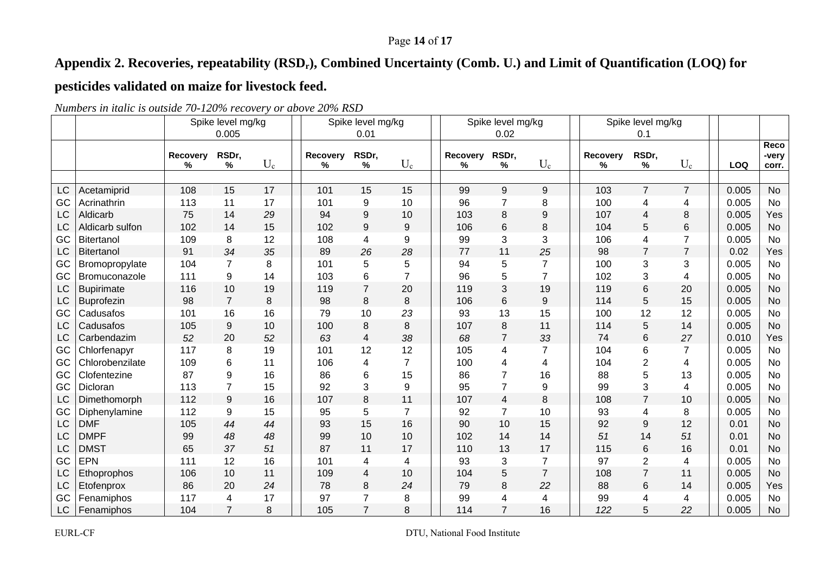## Page **14** of **17**

# Appendix 2. Recoveries, repeatability (RSD<sub>r</sub>), Combined Uncertainty (Comb. U.) and Limit of Quantification (LOQ) for

# **pesticides validated on maize for livestock feed.**

|    |                   |               | Spike level mg/kg |       |                      | Spike level mg/kg |                |  |                      | Spike level mg/kg |                |               | Spike level mg/kg |                |            |                        |
|----|-------------------|---------------|-------------------|-------|----------------------|-------------------|----------------|--|----------------------|-------------------|----------------|---------------|-------------------|----------------|------------|------------------------|
|    |                   |               | 0.005             |       |                      | 0.01              |                |  |                      | 0.02              |                |               | 0.1               |                |            |                        |
|    |                   | Recovery<br>% | RSDr,<br>%        | $U_c$ | <b>Recovery</b><br>% | RSDr,<br>$\%$     | $U_c$          |  | <b>Recovery</b><br>% | RSDr,<br>%        | $U_c$          | Recovery<br>℅ | RSDr,<br>%        | $U_c$          | <b>LOQ</b> | Reco<br>-very<br>corr. |
|    |                   |               |                   |       |                      |                   |                |  |                      |                   |                |               |                   |                |            |                        |
| LC | Acetamiprid       | 108           | 15                | 17    | 101                  | 15                | 15             |  | 99                   | 9                 | 9              | 103           | $\overline{7}$    | $\overline{7}$ | 0.005      | <b>No</b>              |
| GC | Acrinathrin       | 113           | 11                | 17    | 101                  | 9                 | 10             |  | 96                   | $\overline{7}$    | 8              | 100           | 4                 | 4              | 0.005      | No                     |
| LC | Aldicarb          | 75            | 14                | 29    | 94                   | 9                 | 10             |  | 103                  | 8                 | 9              | 107           | 4                 | 8              | 0.005      | Yes                    |
| LC | Aldicarb sulfon   | 102           | 14                | 15    | 102                  | 9                 | 9              |  | 106                  | 6                 | 8              | 104           | 5                 | 6              | 0.005      | <b>No</b>              |
| GC | Bitertanol        | 109           | 8                 | 12    | 108                  | 4                 | 9              |  | 99                   | 3                 | 3              | 106           | 4                 | $\overline{7}$ | 0.005      | <b>No</b>              |
| LC | <b>Bitertanol</b> | 91            | 34                | 35    | 89                   | 26                | 28             |  | 77                   | 11                | 25             | 98            | $\overline{7}$    | $\overline{7}$ | 0.02       | Yes                    |
| GC | Bromopropylate    | 104           | $\overline{7}$    | 8     | 101                  | 5                 | 5              |  | 94                   | 5                 | 7              | 100           | 3                 | 3              | 0.005      | <b>No</b>              |
| GC | Bromuconazole     | 111           | 9                 | 14    | 103                  | 6                 | $\overline{7}$ |  | 96                   | 5                 | $\overline{7}$ | 102           | 3                 | 4              | 0.005      | No                     |
| LC | <b>Bupirimate</b> | 116           | 10                | 19    | 119                  | $\overline{7}$    | 20             |  | 119                  | 3                 | 19             | 119           | 6                 | 20             | 0.005      | <b>No</b>              |
| LC | <b>Buprofezin</b> | 98            | $\overline{7}$    | 8     | 98                   | 8                 | 8              |  | 106                  | 6                 | 9              | 114           | 5                 | 15             | 0.005      | <b>No</b>              |
| GC | Cadusafos         | 101           | 16                | 16    | 79                   | 10                | 23             |  | 93                   | 13                | 15             | 100           | 12                | 12             | 0.005      | <b>No</b>              |
| LC | Cadusafos         | 105           | 9                 | 10    | 100                  | 8                 | 8              |  | 107                  | 8                 | 11             | 114           | 5                 | 14             | 0.005      | <b>No</b>              |
| LC | Carbendazim       | 52            | 20                | 52    | 63                   | $\overline{4}$    | 38             |  | 68                   | $\overline{7}$    | 33             | 74            | 6                 | 27             | 0.010      | Yes                    |
| GC | Chlorfenapyr      | 117           | 8                 | 19    | 101                  | 12                | 12             |  | 105                  | 4                 | 7              | 104           | 6                 | $\overline{7}$ | 0.005      | <b>No</b>              |
| GC | Chlorobenzilate   | 109           | 6                 | 11    | 106                  | 4                 | $\overline{7}$ |  | 100                  | 4                 | 4              | 104           | $\overline{c}$    | 4              | 0.005      | No                     |
| GC | Clofentezine      | 87            | 9                 | 16    | 86                   | 6                 | 15             |  | 86                   | $\overline{7}$    | 16             | 88            | 5                 | 13             | 0.005      | <b>No</b>              |
| GC | Dicloran          | 113           | $\overline{7}$    | 15    | 92                   | 3                 | 9              |  | 95                   | $\overline{7}$    | 9              | 99            | 3                 | 4              | 0.005      | No                     |
| LC | Dimethomorph      | 112           | 9                 | 16    | 107                  | 8                 | 11             |  | 107                  | $\overline{4}$    | 8              | 108           | $\overline{7}$    | 10             | 0.005      | <b>No</b>              |
| GC | Diphenylamine     | 112           | 9                 | 15    | 95                   | 5                 | $\overline{7}$ |  | 92                   | $\overline{7}$    | 10             | 93            | 4                 | $\, 8$         | 0.005      | No                     |
| LC | <b>DMF</b>        | 105           | 44                | 44    | 93                   | 15                | 16             |  | 90                   | 10                | 15             | 92            | 9                 | 12             | 0.01       | <b>No</b>              |
| LC | <b>DMPF</b>       | 99            | 48                | 48    | 99                   | 10                | 10             |  | 102                  | 14                | 14             | 51            | 14                | 51             | 0.01       | <b>No</b>              |
| LC | <b>DMST</b>       | 65            | 37                | 51    | 87                   | 11                | 17             |  | 110                  | 13                | 17             | 115           | 6                 | 16             | 0.01       | <b>No</b>              |
| GC | EPN               | 111           | 12                | 16    | 101                  | $\overline{4}$    | 4              |  | 93                   | 3                 | $\overline{7}$ | 97            | $\overline{2}$    | 4              | 0.005      | No                     |
| LC | Ethoprophos       | 106           | 10                | 11    | 109                  | 4                 | 10             |  | 104                  | 5                 | $\overline{7}$ | 108           | $\overline{7}$    | 11             | 0.005      | No                     |
| LC | Etofenprox        | 86            | 20                | 24    | 78                   | 8                 | 24             |  | 79                   | 8                 | 22             | 88            | 6                 | 14             | 0.005      | Yes                    |
| GC | Fenamiphos        | 117           | 4                 | 17    | 97                   | $\overline{7}$    | 8              |  | 99                   | 4                 | 4              | 99            | 4                 | 4              | 0.005      | No                     |
| LC | Fenamiphos        | 104           |                   | 8     | 105                  |                   | 8              |  | 114                  |                   | 16             | 122           | 5                 | 22             | 0.005      | No                     |

*Numbers in italic is outside 70-120% recovery or above 20% RSD*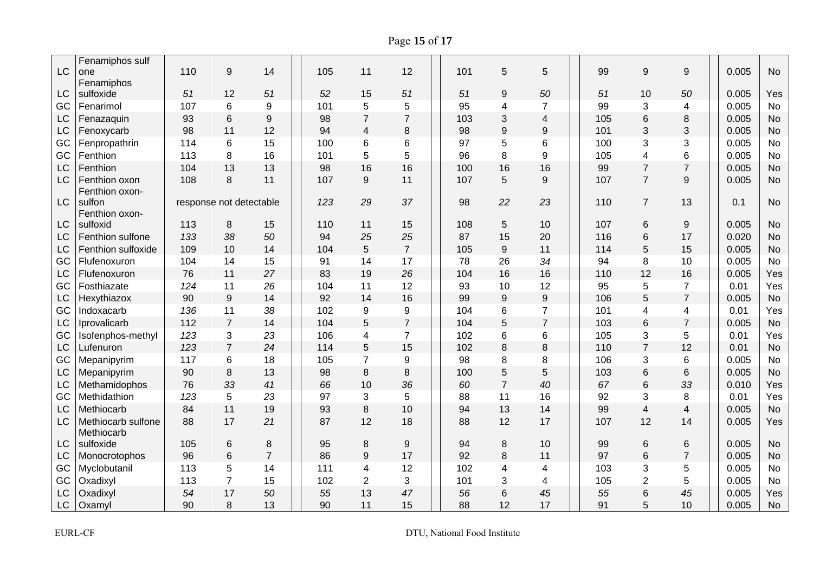Page **15** of **17**

|           | Fenamiphos sulf                 |     |                         |                |     |                         |                |     |                  |                |     |                         |                  |       |           |
|-----------|---------------------------------|-----|-------------------------|----------------|-----|-------------------------|----------------|-----|------------------|----------------|-----|-------------------------|------------------|-------|-----------|
| LC        | one                             | 110 | 9                       | 14             | 105 | 11                      | 12             | 101 | 5                | 5              | 99  | 9                       | $\boldsymbol{9}$ | 0.005 | <b>No</b> |
|           | Fenamiphos                      |     |                         |                |     |                         |                |     |                  |                |     |                         |                  |       |           |
| LC        | sulfoxide                       | 51  | 12                      | 51             | 52  | 15                      | 51             | 51  | 9                | 50             | 51  | 10                      | 50               | 0.005 | Yes       |
| GC        | Fenarimol                       | 107 | 6                       | 9              | 101 | 5                       | 5              | 95  | 4                | $\overline{7}$ | 99  | 3                       | 4                | 0.005 | No        |
| LC        | Fenazaquin                      | 93  | 6                       | 9              | 98  | $\overline{7}$          | $\overline{7}$ | 103 | 3                | 4              | 105 | 6                       | 8                | 0.005 | <b>No</b> |
| LC        | Fenoxycarb                      | 98  | 11                      | 12             | 94  | $\overline{\mathbf{4}}$ | 8              | 98  | $\boldsymbol{9}$ | 9              | 101 | 3                       | 3                | 0.005 | <b>No</b> |
| GC        | Fenpropathrin                   | 114 | 6                       | 15             | 100 | 6                       | 6              | 97  | 5                | 6              | 100 | 3                       | 3                | 0.005 | No        |
| GC        | Fenthion                        | 113 | 8                       | 16             | 101 | 5                       | 5              | 96  | 8                | 9              | 105 | 4                       | 6                | 0.005 | <b>No</b> |
| LC        | Fenthion                        | 104 | 13                      | 13             | 98  | 16                      | 16             | 100 | 16               | 16             | 99  | $\overline{7}$          | $\overline{7}$   | 0.005 | <b>No</b> |
| LC        | Fenthion oxon<br>Fenthion oxon- | 108 | 8                       | 11             | 107 | 9                       | 11             | 107 | 5                | 9              | 107 | $\overline{7}$          | 9                | 0.005 | <b>No</b> |
| <b>LC</b> | sulfon                          |     | response not detectable |                | 123 | 29                      | 37             | 98  | 22               | 23             | 110 | $\overline{7}$          | 13               | 0.1   | <b>No</b> |
|           | Fenthion oxon-                  |     |                         |                |     |                         |                |     |                  |                |     |                         |                  |       |           |
| LC        | sulfoxid                        | 113 | 8                       | 15             | 110 | 11                      | 15             | 108 | 5                | 10             | 107 | $\,6$                   | $\boldsymbol{9}$ | 0.005 | <b>No</b> |
| LC        | Fenthion sulfone                | 133 | 38                      | 50             | 94  | 25                      | 25             | 87  | 15               | 20             | 116 | 6                       | 17               | 0.020 | <b>No</b> |
| LC        | Fenthion sulfoxide              | 109 | 10                      | 14             | 104 | 5                       | $\overline{7}$ | 105 | 9                | 11             | 114 | 5                       | 15               | 0.005 | <b>No</b> |
| GC        | Flufenoxuron                    | 104 | 14                      | 15             | 91  | 14                      | 17             | 78  | 26               | 34             | 94  | 8                       | 10               | 0.005 | <b>No</b> |
| LC        | Flufenoxuron                    | 76  | 11                      | 27             | 83  | 19                      | 26             | 104 | 16               | 16             | 110 | 12                      | 16               | 0.005 | Yes       |
| GC        | Fosthiazate                     | 124 | 11                      | 26             | 104 | 11                      | 12             | 93  | 10               | 12             | 95  | 5                       | $\overline{7}$   | 0.01  | Yes       |
| LC        | Hexythiazox                     | 90  | $9\,$                   | 14             | 92  | 14                      | 16             | 99  | 9                | 9              | 106 | 5                       | $\overline{7}$   | 0.005 | <b>No</b> |
| GC        | Indoxacarb                      | 136 | 11                      | 38             | 102 | 9                       | 9              | 104 | 6                | $\overline{7}$ | 101 | 4                       | 4                | 0.01  | Yes       |
| LC        | Iprovalicarb                    | 112 | $\overline{7}$          | 14             | 104 | 5                       | $\overline{7}$ | 104 | 5                | $\overline{7}$ | 103 | $6\phantom{1}$          | $\overline{7}$   | 0.005 | <b>No</b> |
| GC        | Isofenphos-methyl               | 123 | 3                       | 23             | 106 | 4                       | $\overline{7}$ | 102 | 6                | 6              | 105 | 3                       | 5                | 0.01  | Yes       |
| LC        | Lufenuron                       | 123 | $\overline{7}$          | 24             | 114 | 5                       | 15             | 102 | 8                | 8              | 110 | $\overline{7}$          | 12               | 0.01  | <b>No</b> |
| GC        | Mepanipyrim                     | 117 | 6                       | 18             | 105 | $\overline{7}$          | 9              | 98  | 8                | 8              | 106 | $\mathbf{3}$            | $\,6\,$          | 0.005 | No        |
| LC        | Mepanipyrim                     | 90  | 8                       | 13             | 98  | 8                       | 8              | 100 | 5                | 5              | 103 | 6                       | 6                | 0.005 | <b>No</b> |
| LC        | Methamidophos                   | 76  | 33                      | 41             | 66  | 10                      | 36             | 60  | $\overline{7}$   | 40             | 67  | $\,6$                   | 33               | 0.010 | Yes       |
| GC        | Methidathion                    | 123 | 5                       | 23             | 97  | 3                       | 5              | 88  | 11               | 16             | 92  | 3                       | 8                | 0.01  | Yes       |
| LC        | Methiocarb                      | 84  | 11                      | 19             | 93  | 8                       | 10             | 94  | 13               | 14             | 99  | $\overline{\mathbf{4}}$ | $\overline{4}$   | 0.005 | <b>No</b> |
| <b>LC</b> | Methiocarb sulfone              | 88  | 17                      | 21             | 87  | 12                      | 18             | 88  | 12               | 17             | 107 | 12                      | 14               | 0.005 | Yes       |
|           | Methiocarb                      |     |                         |                |     |                         |                |     |                  |                |     |                         |                  |       |           |
| <b>LC</b> | sulfoxide                       | 105 | 6                       | 8              | 95  | 8                       | 9              | 94  | 8                | 10             | 99  | 6                       | 6                | 0.005 | <b>No</b> |
| LC        | Monocrotophos                   | 96  | $\,6$                   | $\overline{7}$ | 86  | 9                       | 17             | 92  | $\bf 8$          | 11             | 97  | 6                       | $\overline{7}$   | 0.005 | <b>No</b> |
| GC        | Myclobutanil                    | 113 | 5                       | 14             | 111 | 4                       | 12             | 102 | 4                | 4              | 103 | 3                       | 5                | 0.005 | <b>No</b> |
| GC        | Oxadixyl                        | 113 | $\overline{7}$          | 15             | 102 | $\overline{c}$          | 3              | 101 | 3                | 4              | 105 | $\overline{2}$          | 5                | 0.005 | <b>No</b> |
| LC        | Oxadixyl                        | 54  | 17                      | 50             | 55  | 13                      | 47             | 56  | 6                | 45             | 55  | 6                       | 45               | 0.005 | Yes       |
| <b>LC</b> | Oxamyl                          | 90  | 8                       | 13             | 90  | 11                      | 15             | 88  | 12               | 17             | 91  | 5                       | 10               | 0.005 | <b>No</b> |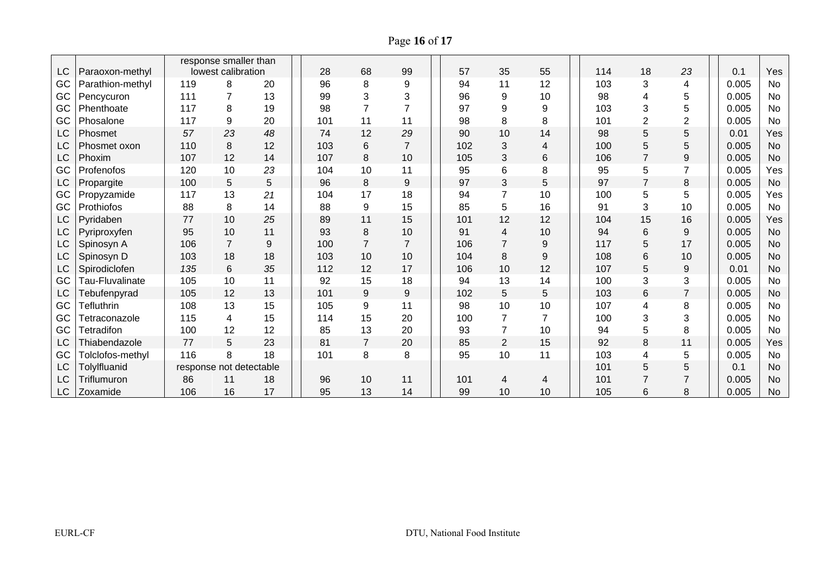Page **16** of **17**

|           |                   |                         | response smaller than |    |  |     |                |                |     |                |                          |     |                |                |       |           |
|-----------|-------------------|-------------------------|-----------------------|----|--|-----|----------------|----------------|-----|----------------|--------------------------|-----|----------------|----------------|-------|-----------|
| LC        | Paraoxon-methyl   |                         | lowest calibration    |    |  | 28  | 68             | 99             | 57  | 35             | 55                       | 114 | 18             | 23             | 0.1   | Yes       |
| GC        | Parathion-methyl  | 119                     | 8                     | 20 |  | 96  | 8              | 9              | 94  | 11             | 12                       | 103 | 3              | 4              | 0.005 | No        |
| GC        | Pencycuron        | 111                     |                       | 13 |  | 99  | 3              | 3              | 96  | 9              | 10                       | 98  | 4              | 5              | 0.005 | <b>No</b> |
| GC        | Phenthoate        | 117                     | 8                     | 19 |  | 98  | $\overline{7}$ | $\overline{7}$ | 97  | 9              | 9                        | 103 | 3              | 5              | 0.005 | No        |
| GC        | Phosalone         | 117                     | 9                     | 20 |  | 101 | 11             | 11             | 98  | 8              | 8                        | 101 | 2              | $\overline{2}$ | 0.005 | <b>No</b> |
| LC        | Phosmet           | 57                      | 23                    | 48 |  | 74  | 12             | 29             | 90  | 10             | 14                       | 98  | 5              | 5              | 0.01  | Yes       |
| LC        | Phosmet oxon      | 110                     | 8                     | 12 |  | 103 | 6              | $\overline{7}$ | 102 | 3              | $\overline{\mathcal{L}}$ | 100 | 5              | 5              | 0.005 | <b>No</b> |
| LC        | Phoxim            | 107                     | 12                    | 14 |  | 107 | 8              | 10             | 105 | 3              | 6                        | 106 | $\overline{7}$ | 9              | 0.005 | <b>No</b> |
| GC        | Profenofos        | 120                     | 10                    | 23 |  | 104 | 10             | 11             | 95  | $6\phantom{1}$ | 8                        | 95  | 5              | $\overline{7}$ | 0.005 | Yes       |
| <b>LC</b> | Propargite        | 100                     | 5                     | 5  |  | 96  | 8              | 9              | 97  | 3              | 5                        | 97  | $\overline{7}$ | 8              | 0.005 | <b>No</b> |
| GC        | Propyzamide       | 117                     | 13                    | 21 |  | 104 | 17             | 18             | 94  | $\overline{7}$ | 10                       | 100 | 5              | 5              | 0.005 | Yes       |
| GC        | Prothiofos        | 88                      | 8                     | 14 |  | 88  | 9              | 15             | 85  | 5              | 16                       | 91  | 3              | 10             | 0.005 | <b>No</b> |
| LC        | Pyridaben         | 77                      | 10                    | 25 |  | 89  | 11             | 15             | 101 | 12             | 12                       | 104 | 15             | 16             | 0.005 | Yes       |
| LC        | Pyriproxyfen      | 95                      | 10                    | 11 |  | 93  | 8              | 10             | 91  | 4              | 10                       | 94  | 6              | 9              | 0.005 | <b>No</b> |
| LC        | Spinosyn A        | 106                     | $\overline{7}$        | 9  |  | 100 | $\overline{7}$ | $\overline{7}$ | 106 | $\overline{7}$ | $\boldsymbol{9}$         | 117 | 5              | 17             | 0.005 | <b>No</b> |
| LC        | Spinosyn D        | 103                     | 18                    | 18 |  | 103 | 10             | 10             | 104 | 8              | $\boldsymbol{9}$         | 108 | 6              | 10             | 0.005 | <b>No</b> |
| LC        | Spirodiclofen     | 135                     | 6                     | 35 |  | 112 | 12             | 17             | 106 | 10             | 12                       | 107 | 5              | 9              | 0.01  | <b>No</b> |
| GC        | Tau-Fluvalinate   | 105                     | 10                    | 11 |  | 92  | 15             | 18             | 94  | 13             | 14                       | 100 | 3              | 3              | 0.005 | No        |
| LC        | Tebufenpyrad      | 105                     | 12                    | 13 |  | 101 | 9              | $9$            | 102 | 5              | 5                        | 103 | 6              | $\overline{7}$ | 0.005 | <b>No</b> |
| GC        | <b>Tefluthrin</b> | 108                     | 13                    | 15 |  | 105 | 9              | 11             | 98  | 10             | 10                       | 107 | 4              | 8              | 0.005 | <b>No</b> |
| GC        | Tetraconazole     | 115                     | 4                     | 15 |  | 114 | 15             | 20             | 100 | $\overline{7}$ | $\overline{7}$           | 100 | 3              | 3              | 0.005 | No        |
| GC        | <b>Tetradifon</b> | 100                     | 12                    | 12 |  | 85  | 13             | 20             | 93  | $\overline{7}$ | 10                       | 94  | 5              | 8              | 0.005 | <b>No</b> |
| LC        | Thiabendazole     | 77                      | 5                     | 23 |  | 81  | $\overline{7}$ | 20             | 85  | $\overline{2}$ | 15                       | 92  | 8              | 11             | 0.005 | Yes       |
| GC        | Tolclofos-methyl  | 116                     | 8                     | 18 |  | 101 | 8              | 8              | 95  | 10             | 11                       | 103 | 4              | 5              | 0.005 | <b>No</b> |
| LC        | Tolylfluanid      | response not detectable |                       |    |  |     |                |                |     |                |                          | 101 | 5              | 5              | 0.1   | <b>No</b> |
| LC        | Triflumuron       | 86                      | 11                    | 18 |  | 96  | 10             | 11             | 101 | 4              | 4                        | 101 | $\overline{7}$ | $\overline{7}$ | 0.005 | <b>No</b> |
| LC        | Zoxamide          | 106                     | 16                    | 17 |  | 95  | 13             | 14             | 99  | 10             | 10                       | 105 | 6              | 8              | 0.005 | <b>No</b> |